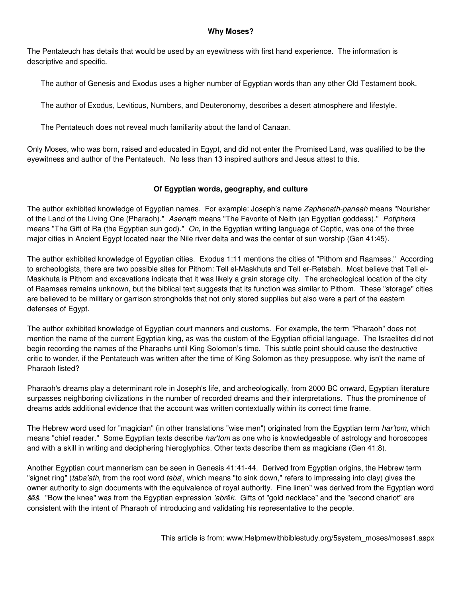#### **Why Moses?**

The Pentateuch has details that would be used by an eyewitness with first hand experience. The information is descriptive and specific.

The author of Genesis and Exodus uses a higher number of Egyptian words than any other Old Testament book.

The author of Exodus, Leviticus, Numbers, and Deuteronomy, describes a desert atmosphere and lifestyle.

The Pentateuch does not reveal much familiarity about the land of Canaan.

Only Moses, who was born, raised and educated in Egypt, and did not enter the Promised Land, was qualified to be the eyewitness and author of the Pentateuch. No less than 13 inspired authors and Jesus attest to this.

#### **Of Egyptian words, geography, and culture**

The author exhibited knowledge of Egyptian names. For example: Joseph's name Zaphenath-paneah means "Nourisher of the Land of the Living One (Pharaoh)." Asenath means "The Favorite of Neith (an Egyptian goddess)." Potiphera means "The Gift of Ra (the Egyptian sun god)." On, in the Egyptian writing language of Coptic, was one of the three major cities in Ancient Egypt located near the Nile river delta and was the center of sun worship (Gen 41:45).

The author exhibited knowledge of Egyptian cities. Exodus 1:11 mentions the cities of "Pithom and Raamses." According to archeologists, there are two possible sites for Pithom: Tell el-Maskhuta and Tell er-Retabah. Most believe that Tell el-Maskhuta is Pithom and excavations indicate that it was likely a grain storage city. The archeological location of the city of Raamses remains unknown, but the biblical text suggests that its function was similar to Pithom. These "storage" cities are believed to be military or garrison strongholds that not only stored supplies but also were a part of the eastern defenses of Egypt.

The author exhibited knowledge of Egyptian court manners and customs. For example, the term "Pharaoh" does not mention the name of the current Egyptian king, as was the custom of the Egyptian official language. The Israelites did not begin recording the names of the Pharaohs until King Solomon's time. This subtle point should cause the destructive critic to wonder, if the Pentateuch was written after the time of King Solomon as they presuppose, why isn't the name of Pharaoh listed?

Pharaoh's dreams play a determinant role in Joseph's life, and archeologically, from 2000 BC onward, Egyptian literature surpasses neighboring civilizations in the number of recorded dreams and their interpretations. Thus the prominence of dreams adds additional evidence that the account was written contextually within its correct time frame.

The Hebrew word used for "magician" (in other translations "wise men") originated from the Egyptian term har'tom, which means "chief reader." Some Egyptian texts describe *har'tom* as one who is knowledgeable of astrology and horoscopes and with a skill in writing and deciphering hieroglyphics. Other texts describe them as magicians (Gen 41:8).

Another Egyptian court mannerism can be seen in Genesis 41:41-44. Derived from Egyptian origins, the Hebrew term "signet ring" (taba'ath, from the root word taba', which means "to sink down," refers to impressing into clay) gives the owner authority to sign documents with the equivalence of royal authority. Fine linen" was derived from the Egyptian word šēš. "Bow the knee" was from the Egyptian expression 'abrēk. Gifts of "gold necklace" and the "second chariot" are consistent with the intent of Pharaoh of introducing and validating his representative to the people.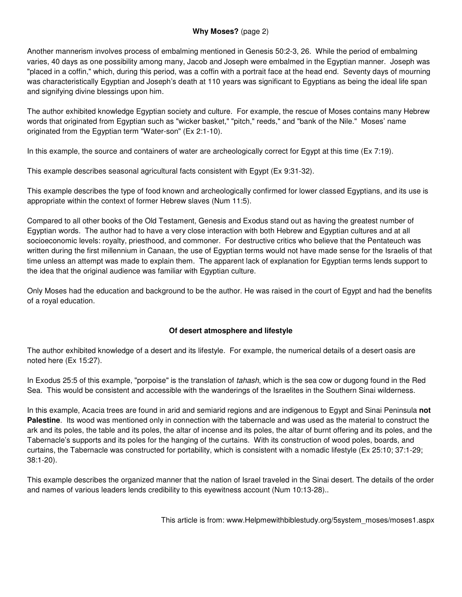## **Why Moses?** (page 2)

Another mannerism involves process of embalming mentioned in Genesis 50:2-3, 26. While the period of embalming varies, 40 days as one possibility among many, Jacob and Joseph were embalmed in the Egyptian manner. Joseph was "placed in a coffin," which, during this period, was a coffin with a portrait face at the head end. Seventy days of mourning was characteristically Egyptian and Joseph's death at 110 years was significant to Egyptians as being the ideal life span and signifying divine blessings upon him.

The author exhibited knowledge Egyptian society and culture. For example, the rescue of Moses contains many Hebrew words that originated from Egyptian such as "wicker basket," "pitch," reeds," and "bank of the Nile." Moses' name originated from the Egyptian term "Water-son" (Ex 2:1-10).

In this example, the source and containers of water are archeologically correct for Egypt at this time (Ex 7:19).

This example describes seasonal agricultural facts consistent with Egypt (Ex 9:31-32).

This example describes the type of food known and archeologically confirmed for lower classed Egyptians, and its use is appropriate within the context of former Hebrew slaves (Num 11:5).

Compared to all other books of the Old Testament, Genesis and Exodus stand out as having the greatest number of Egyptian words. The author had to have a very close interaction with both Hebrew and Egyptian cultures and at all socioeconomic levels: royalty, priesthood, and commoner. For destructive critics who believe that the Pentateuch was written during the first millennium in Canaan, the use of Egyptian terms would not have made sense for the Israelis of that time unless an attempt was made to explain them. The apparent lack of explanation for Egyptian terms lends support to the idea that the original audience was familiar with Egyptian culture.

Only Moses had the education and background to be the author. He was raised in the court of Egypt and had the benefits of a royal education.

# **Of desert atmosphere and lifestyle**

The author exhibited knowledge of a desert and its lifestyle. For example, the numerical details of a desert oasis are noted here (Ex 15:27).

In Exodus 25:5 of this example, "porpoise" is the translation of tahash, which is the sea cow or dugong found in the Red Sea. This would be consistent and accessible with the wanderings of the Israelites in the Southern Sinai wilderness.

In this example, Acacia trees are found in arid and semiarid regions and are indigenous to Egypt and Sinai Peninsula **not Palestine**. Its wood was mentioned only in connection with the tabernacle and was used as the material to construct the ark and its poles, the table and its poles, the altar of incense and its poles, the altar of burnt offering and its poles, and the Tabernacle's supports and its poles for the hanging of the curtains. With its construction of wood poles, boards, and curtains, the Tabernacle was constructed for portability, which is consistent with a nomadic lifestyle (Ex 25:10; 37:1-29; 38:1-20).

This example describes the organized manner that the nation of Israel traveled in the Sinai desert. The details of the order and names of various leaders lends credibility to this eyewitness account (Num 10:13-28)..

This article is from: www.Helpmewithbiblestudy.org/5system\_moses/moses1.aspx